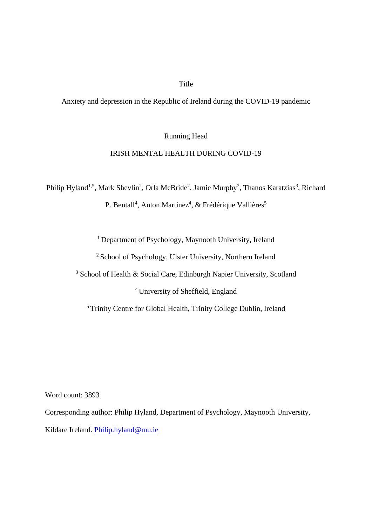# Title

Anxiety and depression in the Republic of Ireland during the COVID-19 pandemic

Running Head

## IRISH MENTAL HEALTH DURING COVID-19

Philip Hyland<sup>1,5</sup>, Mark Shevlin<sup>2</sup>, Orla McBride<sup>2</sup>, Jamie Murphy<sup>2</sup>, Thanos Karatzias<sup>3</sup>, Richard

P. Bentall<sup>4</sup>, Anton Martinez<sup>4</sup>, & Frédérique Vallières<sup>5</sup>

<sup>1</sup> Department of Psychology, Maynooth University, Ireland

<sup>2</sup> School of Psychology, Ulster University, Northern Ireland

<sup>3</sup> School of Health & Social Care, Edinburgh Napier University, Scotland

<sup>4</sup>University of Sheffield, England

<sup>5</sup>Trinity Centre for Global Health, Trinity College Dublin, Ireland

Word count: 3893

Corresponding author: Philip Hyland, Department of Psychology, Maynooth University,

Kildare Ireland. [Philip.hyland@mu.ie](mailto:Philip.hyland@mu.ie)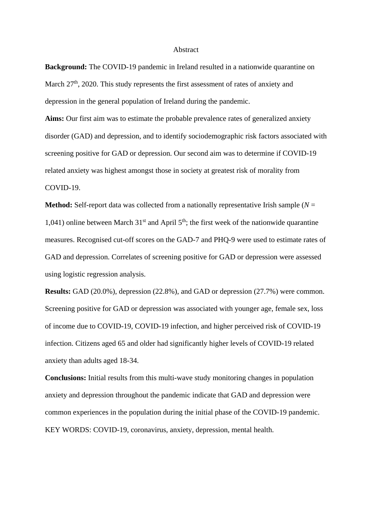### **Abstract**

**Background:** The COVID-19 pandemic in Ireland resulted in a nationwide quarantine on March 27<sup>th</sup>, 2020. This study represents the first assessment of rates of anxiety and depression in the general population of Ireland during the pandemic.

**Aims:** Our first aim was to estimate the probable prevalence rates of generalized anxiety disorder (GAD) and depression, and to identify sociodemographic risk factors associated with screening positive for GAD or depression. Our second aim was to determine if COVID-19 related anxiety was highest amongst those in society at greatest risk of morality from COVID-19.

**Method:** Self-report data was collected from a nationally representative Irish sample ( $N =$ 1,041) online between March  $31<sup>st</sup>$  and April  $5<sup>th</sup>$ ; the first week of the nationwide quarantine measures. Recognised cut-off scores on the GAD-7 and PHQ-9 were used to estimate rates of GAD and depression. Correlates of screening positive for GAD or depression were assessed using logistic regression analysis.

**Results:** GAD (20.0%), depression (22.8%), and GAD or depression (27.7%) were common. Screening positive for GAD or depression was associated with younger age, female sex, loss of income due to COVID-19, COVID-19 infection, and higher perceived risk of COVID-19 infection. Citizens aged 65 and older had significantly higher levels of COVID-19 related anxiety than adults aged 18-34.

**Conclusions:** Initial results from this multi-wave study monitoring changes in population anxiety and depression throughout the pandemic indicate that GAD and depression were common experiences in the population during the initial phase of the COVID-19 pandemic. KEY WORDS: COVID-19, coronavirus, anxiety, depression, mental health.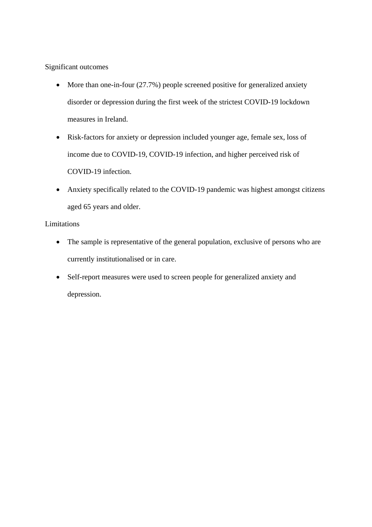Significant outcomes

- More than one-in-four (27.7%) people screened positive for generalized anxiety disorder or depression during the first week of the strictest COVID-19 lockdown measures in Ireland.
- Risk-factors for anxiety or depression included younger age, female sex, loss of income due to COVID-19, COVID-19 infection, and higher perceived risk of COVID-19 infection.
- Anxiety specifically related to the COVID-19 pandemic was highest amongst citizens aged 65 years and older.

# Limitations

- The sample is representative of the general population, exclusive of persons who are currently institutionalised or in care.
- Self-report measures were used to screen people for generalized anxiety and depression.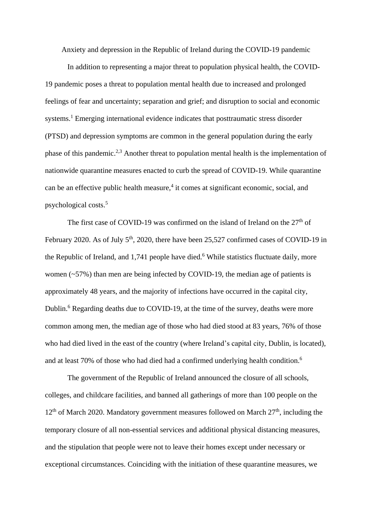Anxiety and depression in the Republic of Ireland during the COVID-19 pandemic

In addition to representing a major threat to population physical health, the COVID-19 pandemic poses a threat to population mental health due to increased and prolonged feelings of fear and uncertainty; separation and grief; and disruption to social and economic systems.<sup>1</sup> Emerging international evidence indicates that posttraumatic stress disorder (PTSD) and depression symptoms are common in the general population during the early phase of this pandemic.<sup>2,3</sup> Another threat to population mental health is the implementation of nationwide quarantine measures enacted to curb the spread of COVID-19. While quarantine can be an effective public health measure, $4$  it comes at significant economic, social, and psychological costs. 5

The first case of COVID-19 was confirmed on the island of Ireland on the  $27<sup>th</sup>$  of February 2020. As of July  $5<sup>th</sup>$ , 2020, there have been 25,527 confirmed cases of COVID-19 in the Republic of Ireland, and 1,741 people have died.<sup>6</sup> While statistics fluctuate daily, more women (~57%) than men are being infected by COVID-19, the median age of patients is approximately 48 years, and the majority of infections have occurred in the capital city, Dublin.<sup>6</sup> Regarding deaths due to COVID-19, at the time of the survey, deaths were more common among men, the median age of those who had died stood at 83 years, 76% of those who had died lived in the east of the country (where Ireland's capital city, Dublin, is located), and at least 70% of those who had died had a confirmed underlying health condition.<sup>6</sup>

The government of the Republic of Ireland announced the closure of all schools, colleges, and childcare facilities, and banned all gatherings of more than 100 people on the  $12<sup>th</sup>$  of March 2020. Mandatory government measures followed on March  $27<sup>th</sup>$ , including the temporary closure of all non-essential services and additional physical distancing measures, and the stipulation that people were not to leave their homes except under necessary or exceptional circumstances. Coinciding with the initiation of these quarantine measures, we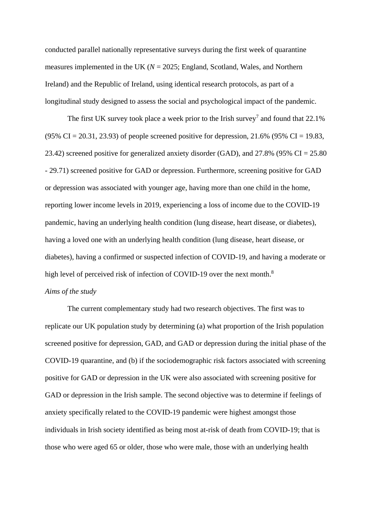conducted parallel nationally representative surveys during the first week of quarantine measures implemented in the UK  $(N = 2025$ ; England, Scotland, Wales, and Northern Ireland) and the Republic of Ireland, using identical research protocols, as part of a longitudinal study designed to assess the social and psychological impact of the pandemic.

The first UK survey took place a week prior to the Irish survey<sup>7</sup> and found that  $22.1\%$  $(95\% \text{ CI} = 20.31, 23.93)$  of people screened positive for depression, 21.6%  $(95\% \text{ CI} = 19.83,$ 23.42) screened positive for generalized anxiety disorder (GAD), and 27.8% (95% CI = 25.80 - 29.71) screened positive for GAD or depression. Furthermore, screening positive for GAD or depression was associated with younger age, having more than one child in the home, reporting lower income levels in 2019, experiencing a loss of income due to the COVID-19 pandemic, having an underlying health condition (lung disease, heart disease, or diabetes), having a loved one with an underlying health condition (lung disease, heart disease, or diabetes), having a confirmed or suspected infection of COVID-19, and having a moderate or high level of perceived risk of infection of COVID-19 over the next month.<sup>8</sup> *Aims of the study*

The current complementary study had two research objectives. The first was to replicate our UK population study by determining (a) what proportion of the Irish population screened positive for depression, GAD, and GAD or depression during the initial phase of the COVID-19 quarantine, and (b) if the sociodemographic risk factors associated with screening positive for GAD or depression in the UK were also associated with screening positive for GAD or depression in the Irish sample. The second objective was to determine if feelings of anxiety specifically related to the COVID-19 pandemic were highest amongst those individuals in Irish society identified as being most at-risk of death from COVID-19; that is those who were aged 65 or older, those who were male, those with an underlying health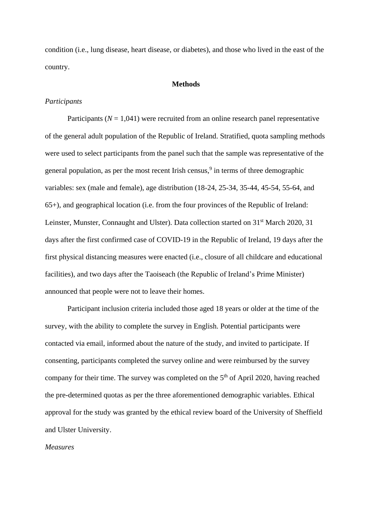condition (i.e., lung disease, heart disease, or diabetes), and those who lived in the east of the country.

### **Methods**

### *Participants*

Participants  $(N = 1,041)$  were recruited from an online research panel representative of the general adult population of the Republic of Ireland. Stratified, quota sampling methods were used to select participants from the panel such that the sample was representative of the general population, as per the most recent Irish census,<sup>9</sup> in terms of three demographic variables: sex (male and female), age distribution (18-24, 25-34, 35-44, 45-54, 55-64, and 65+), and geographical location (i.e. from the four provinces of the Republic of Ireland: Leinster, Munster, Connaught and Ulster). Data collection started on 31<sup>st</sup> March 2020, 31 days after the first confirmed case of COVID-19 in the Republic of Ireland, 19 days after the first physical distancing measures were enacted (i.e., closure of all childcare and educational facilities), and two days after the Taoiseach (the Republic of Ireland's Prime Minister) announced that people were not to leave their homes.

Participant inclusion criteria included those aged 18 years or older at the time of the survey, with the ability to complete the survey in English. Potential participants were contacted via email, informed about the nature of the study, and invited to participate. If consenting, participants completed the survey online and were reimbursed by the survey company for their time. The survey was completed on the  $5<sup>th</sup>$  of April 2020, having reached the pre-determined quotas as per the three aforementioned demographic variables. Ethical approval for the study was granted by the ethical review board of the University of Sheffield and Ulster University.

### *Measures*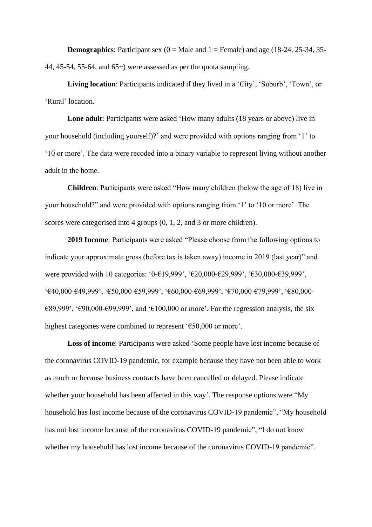**Demographics**: Participant sex  $(0 = \text{Male} \text{ and } 1 = \text{Female})$  and age  $(18-24, 25-34, 35-$ 44, 45-54, 55-64, and 65+) were assessed as per the quota sampling.

**Living location**: Participants indicated if they lived in a 'City', 'Suburb', 'Town', or 'Rural' location.

**Lone adult**: Participants were asked 'How many adults (18 years or above) live in your household (including yourself)?' and were provided with options ranging from '1' to '10 or more'. The data were recoded into a binary variable to represent living without another adult in the home.

**Children**: Participants were asked "How many children (below the age of 18) live in your household?" and were provided with options ranging from '1' to '10 or more'. The scores were categorised into 4 groups  $(0, 1, 2, 1)$  and 3 or more children).

**2019 Income**: Participants were asked "Please choose from the following options to indicate your approximate gross (before tax is taken away) income in 2019 (last year)" and were provided with 10 categories: '0-€19,999', '€20,000-€29,999', '€30,000-€39,999', '€40,000-€49,999', '€50,000-€59,999', '€60,000-€69,999', '€70,000-€79,999', '€80,000-  $€89,999'$ , ' $€90,000$ - $€99,999'$ , and ' $€100,000$  or more'. For the regression analysis, the six highest categories were combined to represent '€50,000 or more'.

**Loss of income**: Participants were asked 'Some people have lost income because of the coronavirus COVID-19 pandemic, for example because they have not been able to work as much or because business contracts have been cancelled or delayed. Please indicate whether your household has been affected in this way'. The response options were "My household has lost income because of the coronavirus COVID-19 pandemic", "My household has not lost income because of the coronavirus COVID-19 pandemic", "I do not know whether my household has lost income because of the coronavirus COVID-19 pandemic".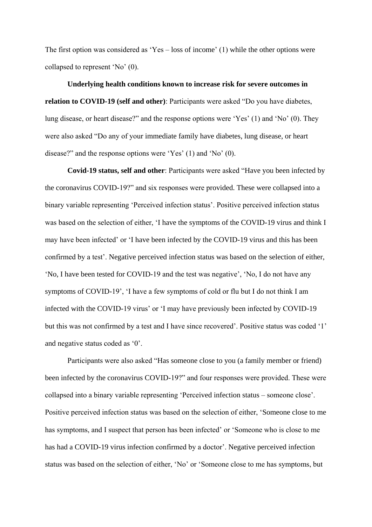The first option was considered as 'Yes – loss of income' (1) while the other options were collapsed to represent 'No' (0).

**Underlying health conditions known to increase risk for severe outcomes in relation to COVID-19 (self and other)**: Participants were asked "Do you have diabetes, lung disease, or heart disease?" and the response options were 'Yes' (1) and 'No' (0). They were also asked "Do any of your immediate family have diabetes, lung disease, or heart disease?" and the response options were 'Yes' (1) and 'No' (0).

**Covid-19 status, self and other**: Participants were asked "Have you been infected by the coronavirus COVID-19?" and six responses were provided. These were collapsed into a binary variable representing 'Perceived infection status'. Positive perceived infection status was based on the selection of either, 'I have the symptoms of the COVID-19 virus and think I may have been infected' or 'I have been infected by the COVID-19 virus and this has been confirmed by a test'. Negative perceived infection status was based on the selection of either, 'No, I have been tested for COVID-19 and the test was negative', 'No, I do not have any symptoms of COVID-19', 'I have a few symptoms of cold or flu but I do not think I am infected with the COVID-19 virus' or 'I may have previously been infected by COVID-19 but this was not confirmed by a test and I have since recovered'. Positive status was coded '1' and negative status coded as '0'.

Participants were also asked "Has someone close to you (a family member or friend) been infected by the coronavirus COVID-19?" and four responses were provided. These were collapsed into a binary variable representing 'Perceived infection status – someone close'. Positive perceived infection status was based on the selection of either, 'Someone close to me has symptoms, and I suspect that person has been infected' or 'Someone who is close to me has had a COVID-19 virus infection confirmed by a doctor'. Negative perceived infection status was based on the selection of either, 'No' or 'Someone close to me has symptoms, but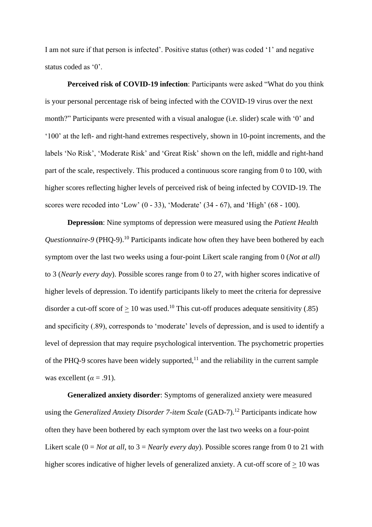I am not sure if that person is infected'. Positive status (other) was coded '1' and negative status coded as '0'.

**Perceived risk of COVID-19 infection**: Participants were asked "What do you think is your personal percentage risk of being infected with the COVID-19 virus over the next month?" Participants were presented with a visual analogue (i.e. slider) scale with '0' and '100' at the left- and right-hand extremes respectively, shown in 10-point increments, and the labels 'No Risk', 'Moderate Risk' and 'Great Risk' shown on the left, middle and right-hand part of the scale, respectively. This produced a continuous score ranging from 0 to 100, with higher scores reflecting higher levels of perceived risk of being infected by COVID-19. The scores were recoded into 'Low' (0 - 33), 'Moderate' (34 - 67), and 'High' (68 - 100).

**Depression**: Nine symptoms of depression were measured using the *Patient Health Questionnaire-9* (PHQ-9).<sup>10</sup> Participants indicate how often they have been bothered by each symptom over the last two weeks using a four-point Likert scale ranging from 0 (*Not at all*) to 3 (*Nearly every day*). Possible scores range from 0 to 27, with higher scores indicative of higher levels of depression. To identify participants likely to meet the criteria for depressive disorder a cut-off score of  $\geq 10$  was used.<sup>10</sup> This cut-off produces adequate sensitivity (.85) and specificity (.89), corresponds to 'moderate' levels of depression, and is used to identify a level of depression that may require psychological intervention. The psychometric properties of the PHQ-9 scores have been widely supported, $<sup>11</sup>$  and the reliability in the current sample</sup> was excellent  $(a = .91)$ .

**Generalized anxiety disorder**: Symptoms of generalized anxiety were measured using the *Generalized Anxiety Disorder 7-item Scale* (GAD-7).<sup>12</sup> Participants indicate how often they have been bothered by each symptom over the last two weeks on a four-point Likert scale (0 = *Not at all*, to 3 = *Nearly every day*). Possible scores range from 0 to 21 with higher scores indicative of higher levels of generalized anxiety. A cut-off score of  $\geq 10$  was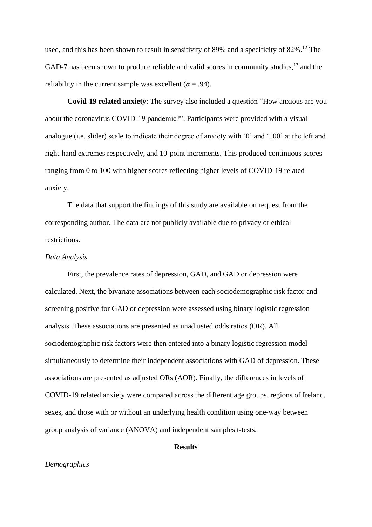used, and this has been shown to result in sensitivity of 89% and a specificity of 82%.<sup>12</sup> The GAD-7 has been shown to produce reliable and valid scores in community studies,<sup>13</sup> and the reliability in the current sample was excellent ( $\alpha$  = .94).

**Covid-19 related anxiety**: The survey also included a question "How anxious are you about the coronavirus COVID-19 pandemic?". Participants were provided with a visual analogue (i.e. slider) scale to indicate their degree of anxiety with '0' and '100' at the left and right-hand extremes respectively, and 10-point increments. This produced continuous scores ranging from 0 to 100 with higher scores reflecting higher levels of COVID-19 related anxiety.

The data that support the findings of this study are available on request from the corresponding author. The data are not publicly available due to privacy or ethical restrictions.

## *Data Analysis*

First, the prevalence rates of depression, GAD, and GAD or depression were calculated. Next, the bivariate associations between each sociodemographic risk factor and screening positive for GAD or depression were assessed using binary logistic regression analysis. These associations are presented as unadjusted odds ratios (OR). All sociodemographic risk factors were then entered into a binary logistic regression model simultaneously to determine their independent associations with GAD of depression. These associations are presented as adjusted ORs (AOR). Finally, the differences in levels of COVID-19 related anxiety were compared across the different age groups, regions of Ireland, sexes, and those with or without an underlying health condition using one-way between group analysis of variance (ANOVA) and independent samples t-tests.

### **Results**

## *Demographics*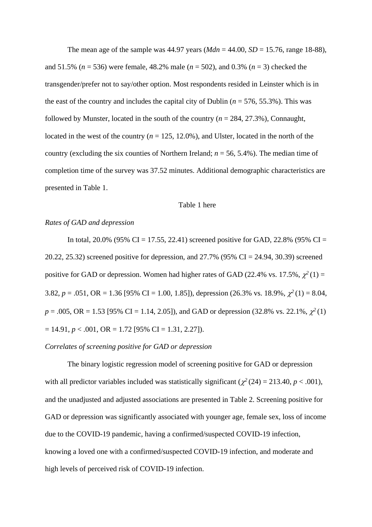The mean age of the sample was  $44.97$  years ( $Mdn = 44.00$ ,  $SD = 15.76$ , range 18-88), and 51.5% (*n* = 536) were female, 48.2% male (*n* = 502), and 0.3% (*n* = 3) checked the transgender/prefer not to say/other option. Most respondents resided in Leinster which is in the east of the country and includes the capital city of Dublin ( $n = 576, 55.3\%$ ). This was followed by Munster, located in the south of the country (*n* = 284, 27.3%), Connaught, located in the west of the country  $(n = 125, 12.0\%)$ , and Ulster, located in the north of the country (excluding the six counties of Northern Ireland; *n* = 56, 5.4%). The median time of completion time of the survey was 37.52 minutes. Additional demographic characteristics are presented in Table 1.

#### Table 1 here

### *Rates of GAD and depression*

In total, 20.0% (95% CI = 17.55, 22.41) screened positive for GAD, 22.8% (95% CI = 20.22, 25.32) screened positive for depression, and 27.7% (95% CI = 24.94, 30.39) screened positive for GAD or depression. Women had higher rates of GAD (22.4% vs. 17.5%,  $\chi^2(1) =$ 3.82,  $p = .051$ , OR = 1.36 [95% CI = 1.00, 1.85]), depression (26.3% vs. 18.9%,  $\chi^2(1) = 8.04$ ,  $p = .005$ , OR = 1.53 [95% CI = 1.14, 2.05]), and GAD or depression (32.8% vs. 22.1%,  $\chi^2(1)$  $= 14.91, p < .001, \text{ OR } = 1.72 \text{ [}95\% \text{ CI } = 1.31, 2.27 \text{]).}$ 

# *Correlates of screening positive for GAD or depression*

The binary logistic regression model of screening positive for GAD or depression with all predictor variables included was statistically significant ( $\chi^2$  (24) = 213.40, *p* < .001), and the unadjusted and adjusted associations are presented in Table 2. Screening positive for GAD or depression was significantly associated with younger age, female sex, loss of income due to the COVID-19 pandemic, having a confirmed/suspected COVID-19 infection, knowing a loved one with a confirmed/suspected COVID-19 infection, and moderate and high levels of perceived risk of COVID-19 infection.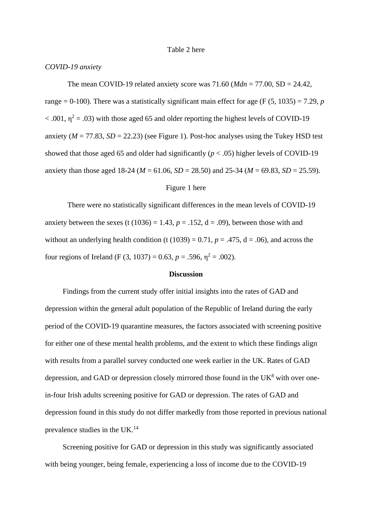### Table 2 here

### *COVID-19 anxiety*

The mean COVID-19 related anxiety score was 71.60 (*Mdn* = 77.00, SD = 24.42, range = 0-100). There was a statistically significant main effect for age (F  $(5, 1035) = 7.29$ , *p*  $<$  .001,  $\eta^2$  = .03) with those aged 65 and older reporting the highest levels of COVID-19 anxiety ( $M = 77.83$ ,  $SD = 22.23$ ) (see Figure 1). Post-hoc analyses using the Tukey HSD test showed that those aged 65 and older had significantly  $(p < .05)$  higher levels of COVID-19 anxiety than those aged 18-24 ( $M = 61.06$ ,  $SD = 28.50$ ) and 25-34 ( $M = 69.83$ ,  $SD = 25.59$ ).

### Figure 1 here

There were no statistically significant differences in the mean levels of COVID-19 anxiety between the sexes (t  $(1036) = 1.43$ ,  $p = .152$ ,  $d = .09$ ), between those with and without an underlying health condition (t (1039) = 0.71,  $p = .475$ ,  $d = .06$ ), and across the four regions of Ireland (F (3, 1037) = 0.63,  $p = .596$ ,  $\eta^2 = .002$ ).

#### **Discussion**

Findings from the current study offer initial insights into the rates of GAD and depression within the general adult population of the Republic of Ireland during the early period of the COVID-19 quarantine measures, the factors associated with screening positive for either one of these mental health problems, and the extent to which these findings align with results from a parallel survey conducted one week earlier in the UK. Rates of GAD depression, and GAD or depression closely mirrored those found in the  $UK<sup>8</sup>$  with over onein-four Irish adults screening positive for GAD or depression. The rates of GAD and depression found in this study do not differ markedly from those reported in previous national prevalence studies in the UK.<sup>14</sup>

Screening positive for GAD or depression in this study was significantly associated with being younger, being female, experiencing a loss of income due to the COVID-19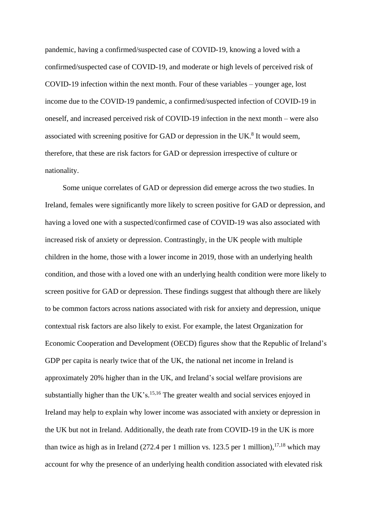pandemic, having a confirmed/suspected case of COVID-19, knowing a loved with a confirmed/suspected case of COVID-19, and moderate or high levels of perceived risk of COVID-19 infection within the next month. Four of these variables – younger age, lost income due to the COVID-19 pandemic, a confirmed/suspected infection of COVID-19 in oneself, and increased perceived risk of COVID-19 infection in the next month – were also associated with screening positive for GAD or depression in the UK.<sup>8</sup> It would seem, therefore, that these are risk factors for GAD or depression irrespective of culture or nationality.

Some unique correlates of GAD or depression did emerge across the two studies. In Ireland, females were significantly more likely to screen positive for GAD or depression, and having a loved one with a suspected/confirmed case of COVID-19 was also associated with increased risk of anxiety or depression. Contrastingly, in the UK people with multiple children in the home, those with a lower income in 2019, those with an underlying health condition, and those with a loved one with an underlying health condition were more likely to screen positive for GAD or depression. These findings suggest that although there are likely to be common factors across nations associated with risk for anxiety and depression, unique contextual risk factors are also likely to exist. For example, the latest Organization for Economic Cooperation and Development (OECD) figures show that the Republic of Ireland's GDP per capita is nearly twice that of the UK, the national net income in Ireland is approximately 20% higher than in the UK, and Ireland's social welfare provisions are substantially higher than the UK's.<sup>15,16</sup> The greater wealth and social services enjoyed in Ireland may help to explain why lower income was associated with anxiety or depression in the UK but not in Ireland. Additionally, the death rate from COVID-19 in the UK is more than twice as high as in Ireland (272.4 per 1 million vs. 123.5 per 1 million),  $17,18$  which may account for why the presence of an underlying health condition associated with elevated risk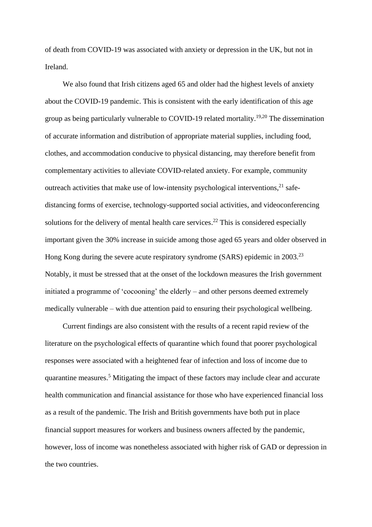of death from COVID-19 was associated with anxiety or depression in the UK, but not in Ireland.

We also found that Irish citizens aged 65 and older had the highest levels of anxiety about the COVID-19 pandemic. This is consistent with the early identification of this age group as being particularly vulnerable to COVID-19 related mortality.<sup>19,20</sup> The dissemination of accurate information and distribution of appropriate material supplies, including food, clothes, and accommodation conducive to physical distancing, may therefore benefit from complementary activities to alleviate COVID-related anxiety. For example, community outreach activities that make use of low-intensity psychological interventions,<sup>21</sup> safedistancing forms of exercise, technology-supported social activities, and videoconferencing solutions for the delivery of mental health care services.<sup>22</sup> This is considered especially important given the 30% increase in suicide among those aged 65 years and older observed in Hong Kong during the severe acute respiratory syndrome (SARS) epidemic in 2003.<sup>23</sup> Notably, it must be stressed that at the onset of the lockdown measures the Irish government initiated a programme of 'cocooning' the elderly – and other persons deemed extremely medically vulnerable – with due attention paid to ensuring their psychological wellbeing.

Current findings are also consistent with the results of a recent rapid review of the literature on the psychological effects of quarantine which found that poorer psychological responses were associated with a heightened fear of infection and loss of income due to quarantine measures. <sup>5</sup> Mitigating the impact of these factors may include clear and accurate health communication and financial assistance for those who have experienced financial loss as a result of the pandemic. The Irish and British governments have both put in place financial support measures for workers and business owners affected by the pandemic, however, loss of income was nonetheless associated with higher risk of GAD or depression in the two countries.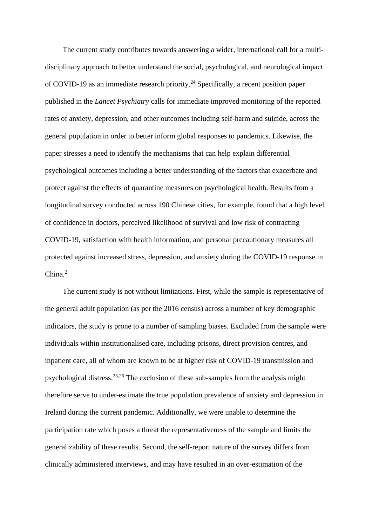The current study contributes towards answering a wider, international call for a multidisciplinary approach to better understand the social, psychological, and neurological impact of COVID-19 as an immediate research priority. <sup>24</sup> Specifically, a recent position paper published in the *Lancet Psychiatry* calls for immediate improved monitoring of the reported rates of anxiety, depression, and other outcomes including self-harm and suicide, across the general population in order to better inform global responses to pandemics. Likewise, the paper stresses a need to identify the mechanisms that can help explain differential psychological outcomes including a better understanding of the factors that exacerbate and protect against the effects of quarantine measures on psychological health. Results from a longitudinal survey conducted across 190 Chinese cities, for example, found that a high level of confidence in doctors, perceived likelihood of survival and low risk of contracting COVID-19, satisfaction with health information, and personal precautionary measures all protected against increased stress, depression, and anxiety during the COVID-19 response in China. 2

The current study is not without limitations. First, while the sample is representative of the general adult population (as per the 2016 census) across a number of key demographic indicators, the study is prone to a number of sampling biases. Excluded from the sample were individuals within institutionalised care, including prisons, direct provision centres, and inpatient care, all of whom are known to be at higher risk of COVID-19 transmission and psychological distress. 25,26 The exclusion of these sub-samples from the analysis might therefore serve to under-estimate the true population prevalence of anxiety and depression in Ireland during the current pandemic. Additionally, we were unable to determine the participation rate which poses a threat the representativeness of the sample and limits the generalizability of these results. Second, the self-report nature of the survey differs from clinically administered interviews, and may have resulted in an over-estimation of the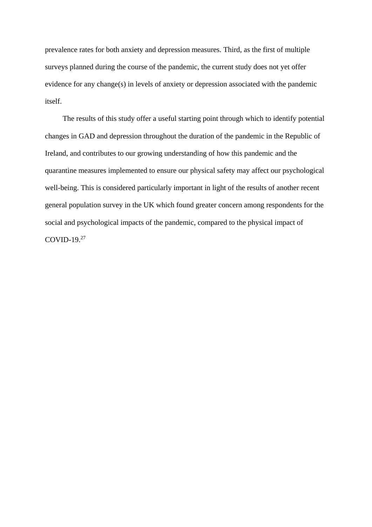prevalence rates for both anxiety and depression measures. Third, as the first of multiple surveys planned during the course of the pandemic, the current study does not yet offer evidence for any change(s) in levels of anxiety or depression associated with the pandemic itself.

The results of this study offer a useful starting point through which to identify potential changes in GAD and depression throughout the duration of the pandemic in the Republic of Ireland, and contributes to our growing understanding of how this pandemic and the quarantine measures implemented to ensure our physical safety may affect our psychological well-being. This is considered particularly important in light of the results of another recent general population survey in the UK which found greater concern among respondents for the social and psychological impacts of the pandemic, compared to the physical impact of COVID-19. 27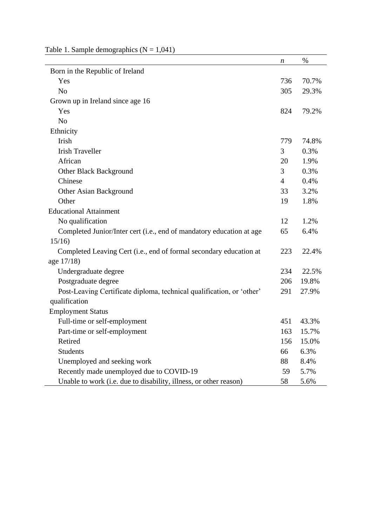|                                                                       | n              | $\%$  |
|-----------------------------------------------------------------------|----------------|-------|
| Born in the Republic of Ireland                                       |                |       |
| Yes                                                                   | 736            | 70.7% |
| N <sub>o</sub>                                                        | 305            | 29.3% |
| Grown up in Ireland since age 16                                      |                |       |
| Yes                                                                   | 824            | 79.2% |
| N <sub>o</sub>                                                        |                |       |
| Ethnicity                                                             |                |       |
| Irish                                                                 | 779            | 74.8% |
| <b>Irish Traveller</b>                                                | 3              | 0.3%  |
| African                                                               | 20             | 1.9%  |
| Other Black Background                                                | 3              | 0.3%  |
| Chinese                                                               | $\overline{4}$ | 0.4%  |
| Other Asian Background                                                | 33             | 3.2%  |
| Other                                                                 | 19             | 1.8%  |
| <b>Educational Attainment</b>                                         |                |       |
| No qualification                                                      | 12             | 1.2%  |
| Completed Junior/Inter cert (i.e., end of mandatory education at age  | 65             | 6.4%  |
| 15/16                                                                 |                |       |
| Completed Leaving Cert (i.e., end of formal secondary education at    | 223            | 22.4% |
| age 17/18)                                                            |                |       |
| Undergraduate degree                                                  | 234            | 22.5% |
| Postgraduate degree                                                   | 206            | 19.8% |
| Post-Leaving Certificate diploma, technical qualification, or 'other' | 291            | 27.9% |
| qualification                                                         |                |       |
| <b>Employment Status</b>                                              |                |       |
| Full-time or self-employment                                          | 451            | 43.3% |
| Part-time or self-employment                                          | 163            | 15.7% |
| Retired                                                               | 156            | 15.0% |
| <b>Students</b>                                                       | 66             | 6.3%  |
| Unemployed and seeking work                                           | 88             | 8.4%  |
| Recently made unemployed due to COVID-19                              | 59             | 5.7%  |
| Unable to work (i.e. due to disability, illness, or other reason)     | 58             | 5.6%  |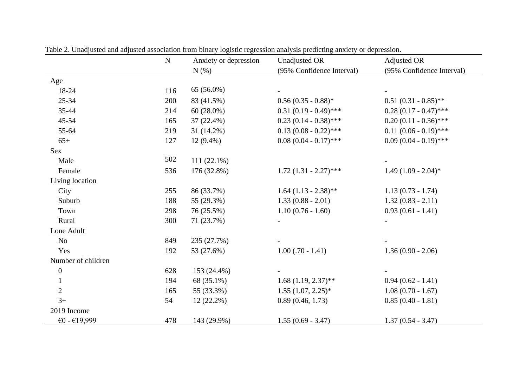|                    | ${\bf N}$ | Anxiety or depression | <b>Unadjusted OR</b>      | Adjusted OR               |
|--------------------|-----------|-----------------------|---------------------------|---------------------------|
|                    |           | N(%)                  | (95% Confidence Interval) | (95% Confidence Interval) |
| Age                |           |                       |                           |                           |
| 18-24              | 116       | 65 (56.0%)            |                           |                           |
| $25 - 34$          | 200       | 83 (41.5%)            | $0.56(0.35 - 0.88)$ *     | $0.51(0.31-0.85)$ **      |
| $35 - 44$          | 214       | $60(28.0\%)$          | $0.31(0.19 - 0.49)$ ***   | $0.28(0.17 - 0.47)$ ***   |
| $45 - 54$          | 165       | $37(22.4\%)$          | $0.23(0.14 - 0.38)$ ***   | $0.20(0.11 - 0.36)$ ***   |
| 55-64              | 219       | 31 (14.2%)            | $0.13(0.08 - 0.22)$ ***   | $0.11(0.06 - 0.19)$ ***   |
| $65+$              | 127       | $12(9.4\%)$           | $0.08(0.04 - 0.17)$ ***   | $0.09(0.04 - 0.19)$ ***   |
| Sex                |           |                       |                           |                           |
| Male               | 502       | $111(22.1\%)$         |                           |                           |
| Female             | 536       | 176 (32.8%)           | $1.72(1.31 - 2.27)$ ***   | $1.49(1.09 - 2.04)$ *     |
| Living location    |           |                       |                           |                           |
| City               | 255       | 86 (33.7%)            | $1.64$ (1.13 - 2.38)**    | $1.13(0.73 - 1.74)$       |
| Suburb             | 188       | 55 (29.3%)            | $1.33(0.88 - 2.01)$       | $1.32(0.83 - 2.11)$       |
| Town               | 298       | 76 (25.5%)            | $1.10(0.76 - 1.60)$       | $0.93(0.61 - 1.41)$       |
| Rural              | 300       | 71 (23.7%)            |                           |                           |
| Lone Adult         |           |                       |                           |                           |
| No                 | 849       | 235 (27.7%)           |                           |                           |
| Yes                | 192       | 53 (27.6%)            | $1.00$ (.70 - 1.41)       | $1.36(0.90 - 2.06)$       |
| Number of children |           |                       |                           |                           |
| $\boldsymbol{0}$   | 628       | 153 (24.4%)           |                           |                           |
| $\mathbf{1}$       | 194       | 68 (35.1%)            | $1.68(1.19, 2.37)$ **     | $0.94(0.62 - 1.41)$       |
| $\mathbf{2}$       | 165       | 55 (33.3%)            | $1.55(1.07, 2.25)^*$      | $1.08(0.70 - 1.67)$       |
| $3+$               | 54        | $12(22.2\%)$          | 0.89(0.46, 1.73)          | $0.85(0.40 - 1.81)$       |
| 2019 Income        |           |                       |                           |                           |
| €0 - $€19,999$     | 478       | 143 (29.9%)           | $1.55(0.69 - 3.47)$       | $1.37(0.54 - 3.47)$       |

Table 2. Unadjusted and adjusted association from binary logistic regression analysis predicting anxiety or depression.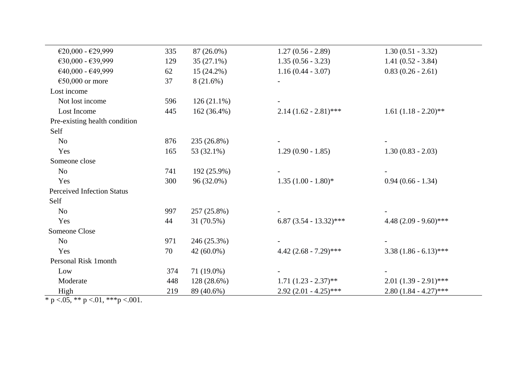| €20,000 - €29,999                 | 335 | 87 (26.0%)    | $1.27(0.56 - 2.89)$       | $1.30(0.51 - 3.32)$      |
|-----------------------------------|-----|---------------|---------------------------|--------------------------|
| €30,000 - €39,999                 | 129 | $35(27.1\%)$  | $1.35(0.56 - 3.23)$       | $1.41(0.52 - 3.84)$      |
| €40,000 - €49,999                 | 62  | $15(24.2\%)$  | $1.16(0.44 - 3.07)$       | $0.83(0.26 - 2.61)$      |
| €50,000 or more                   | 37  | 8(21.6%)      |                           |                          |
| Lost income                       |     |               |                           |                          |
| Not lost income                   | 596 | $126(21.1\%)$ |                           |                          |
| Lost Income                       | 445 | $162(36.4\%)$ | $2.14(1.62 - 2.81)$ ***   | $1.61 (1.18 - 2.20)$ **  |
| Pre-existing health condition     |     |               |                           |                          |
| Self                              |     |               |                           |                          |
| N <sub>o</sub>                    | 876 | 235 (26.8%)   |                           |                          |
| Yes                               | 165 | 53 (32.1%)    | $1.29(0.90 - 1.85)$       | $1.30(0.83 - 2.03)$      |
| Someone close                     |     |               |                           |                          |
| N <sub>o</sub>                    | 741 | 192 (25.9%)   |                           |                          |
| Yes                               | 300 | 96 (32.0%)    | $1.35(1.00 - 1.80)$ *     | $0.94(0.66 - 1.34)$      |
| <b>Perceived Infection Status</b> |     |               |                           |                          |
| Self                              |     |               |                           |                          |
| N <sub>o</sub>                    | 997 | 257 (25.8%)   |                           |                          |
| Yes                               | 44  | 31 (70.5%)    | 6.87 $(3.54 - 13.32)$ *** | 4.48 $(2.09 - 9.60)$ *** |
| Someone Close                     |     |               |                           |                          |
| N <sub>o</sub>                    | 971 | 246 (25.3%)   |                           |                          |
| Yes                               | 70  | $42(60.0\%)$  | 4.42 $(2.68 - 7.29)$ ***  | $3.38(1.86 - 6.13)$ ***  |
| Personal Risk 1 month             |     |               |                           |                          |
| Low                               | 374 | 71 (19.0%)    |                           |                          |
| Moderate                          | 448 | 128 (28.6%)   | $1.71 (1.23 - 2.37)$ **   | $2.01 (1.39 - 2.91)$ *** |
| High                              | 219 | 89 (40.6%)    | $2.92(2.01 - 4.25)$ ***   | $2.80(1.84 - 4.27)$ ***  |

 $\frac{mgn}{p}$  <.05, \*\* p <.01, \*\*\* p <.001.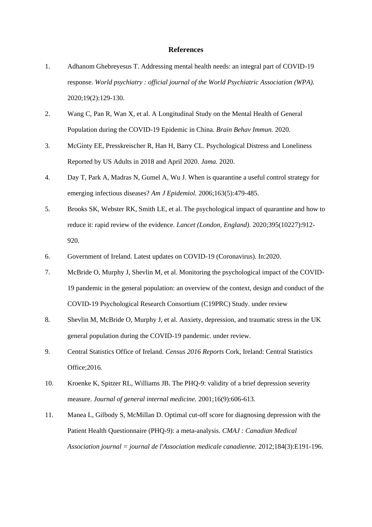### **References**

- 1. Adhanom Ghebreyesus T. Addressing mental health needs: an integral part of COVID-19 response. *World psychiatry : official journal of the World Psychiatric Association (WPA).*  2020;19(2):129-130.
- 2. Wang C, Pan R, Wan X, et al. A Longitudinal Study on the Mental Health of General Population during the COVID-19 Epidemic in China. *Brain Behav Immun.* 2020.
- 3. McGinty EE, Presskreischer R, Han H, Barry CL. Psychological Distress and Loneliness Reported by US Adults in 2018 and April 2020. *Jama.* 2020.
- 4. Day T, Park A, Madras N, Gumel A, Wu J. When is quarantine a useful control strategy for emerging infectious diseases? *Am J Epidemiol.* 2006;163(5):479-485.
- 5. Brooks SK, Webster RK, Smith LE, et al. The psychological impact of quarantine and how to reduce it: rapid review of the evidence. *Lancet (London, England).* 2020;395(10227):912- 920.
- 6. Government of Ireland. Latest updates on COVID-19 (Coronavirus). In:2020.
- 7. McBride O, Murphy J, Shevlin M, et al. Monitoring the psychological impact of the COVID-19 pandemic in the general population: an overview of the context, design and conduct of the COVID-19 Psychological Research Consortium (C19PRC) Study. under review
- 8. Shevlin M, McBride O, Murphy J, et al. Anxiety, depression, and traumatic stress in the UK general population during the COVID-19 pandemic. under review.
- 9. Central Statistics Office of Ireland. *Census 2016 Reports* Cork, Ireland: Central Statistics Office;2016.
- 10. Kroenke K, Spitzer RL, Williams JB. The PHQ-9: validity of a brief depression severity measure. *Journal of general internal medicine.* 2001;16(9):606-613.
- 11. Manea L, Gilbody S, McMillan D. Optimal cut-off score for diagnosing depression with the Patient Health Questionnaire (PHQ-9): a meta-analysis. *CMAJ : Canadian Medical Association journal = journal de l'Association medicale canadienne.* 2012;184(3):E191-196.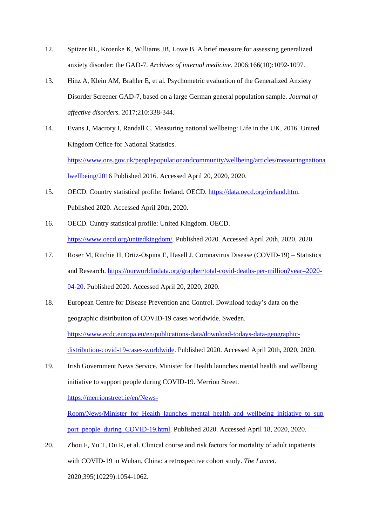- 12. Spitzer RL, Kroenke K, Williams JB, Lowe B. A brief measure for assessing generalized anxiety disorder: the GAD-7. *Archives of internal medicine.* 2006;166(10):1092-1097.
- 13. Hinz A, Klein AM, Brahler E, et al. Psychometric evaluation of the Generalized Anxiety Disorder Screener GAD-7, based on a large German general population sample. *Journal of affective disorders.* 2017;210:338-344.
- 14. Evans J, Macrory I, Randall C. Measuring national wellbeing: Life in the UK, 2016. United Kingdom Office for National Statistics. [https://www.ons.gov.uk/peoplepopulationandcommunity/wellbeing/articles/measuringnationa](https://www.ons.gov.uk/peoplepopulationandcommunity/wellbeing/articles/measuringnationalwellbeing/2016) [lwellbeing/2016](https://www.ons.gov.uk/peoplepopulationandcommunity/wellbeing/articles/measuringnationalwellbeing/2016) Published 2016. Accessed April 20, 2020, 2020.
- 15. OECD. Country statistical profile: Ireland. OECD. [https://data.oecd.org/ireland.htm.](https://data.oecd.org/ireland.htm) Published 2020. Accessed April 20th, 2020.
- 16. OECD. Cuntry statistical profile: United Kingdom. OECD. [https://www.oecd.org/unitedkingdom/.](https://www.oecd.org/unitedkingdom/) Published 2020. Accessed April 20th, 2020, 2020.
- 17. Roser M, Ritchie H, Ortiz-Ospina E, Hasell J. Coronavirus Disease (COVID-19) Statistics and Research. [https://ourworldindata.org/grapher/total-covid-deaths-per-million?year=2020-](https://ourworldindata.org/grapher/total-covid-deaths-per-million?year=2020-04-20) [04-20.](https://ourworldindata.org/grapher/total-covid-deaths-per-million?year=2020-04-20) Published 2020. Accessed April 20, 2020, 2020.
- 18. European Centre for Disease Prevention and Control. Download today's data on the geographic distribution of COVID-19 cases worldwide. Sweden. [https://www.ecdc.europa.eu/en/publications-data/download-todays-data-geographic](https://www.ecdc.europa.eu/en/publications-data/download-todays-data-geographic-distribution-covid-19-cases-worldwide)[distribution-covid-19-cases-worldwide.](https://www.ecdc.europa.eu/en/publications-data/download-todays-data-geographic-distribution-covid-19-cases-worldwide) Published 2020. Accessed April 20th, 2020, 2020.
- 19. Irish Government News Service. Minister for Health launches mental health and wellbeing initiative to support people during COVID-19. Merrion Street.

[https://merrionstreet.ie/en/News-](https://merrionstreet.ie/en/News-Room/News/Minister_for_Health_launches_mental_health_and_wellbeing_initiative_to_support_people_during_COVID-19.html)

[Room/News/Minister\\_for\\_Health\\_launches\\_mental\\_health\\_and\\_wellbeing\\_initiative\\_to\\_sup](https://merrionstreet.ie/en/News-Room/News/Minister_for_Health_launches_mental_health_and_wellbeing_initiative_to_support_people_during_COVID-19.html) [port\\_people\\_during\\_COVID-19.html.](https://merrionstreet.ie/en/News-Room/News/Minister_for_Health_launches_mental_health_and_wellbeing_initiative_to_support_people_during_COVID-19.html) Published 2020. Accessed April 18, 2020, 2020.

20. Zhou F, Yu T, Du R, et al. Clinical course and risk factors for mortality of adult inpatients with COVID-19 in Wuhan, China: a retrospective cohort study. *The Lancet.*  2020;395(10229):1054-1062.